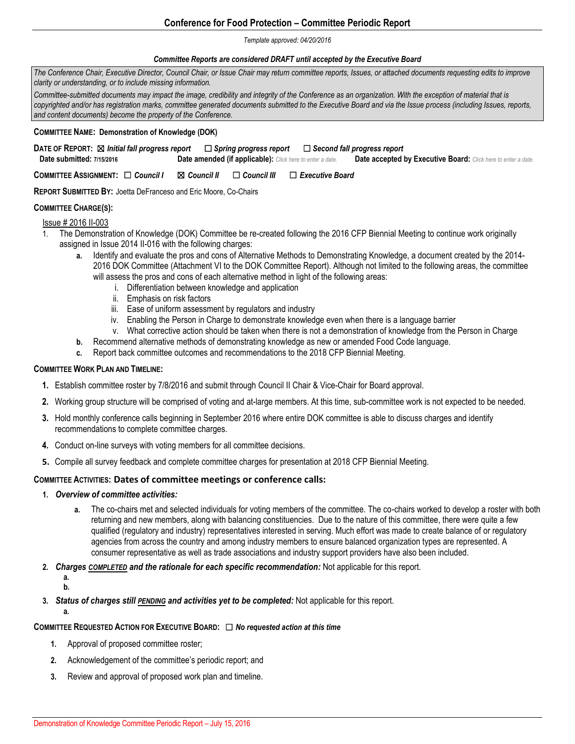# **Conference for Food Protection – Committee Periodic Report**

#### *Template approved: 04/20/2016*

#### *Committee Reports are considered DRAFT until accepted by the Executive Board*

*The Conference Chair, Executive Director, Council Chair, or Issue Chair may return committee reports, Issues, or attached documents requesting edits to improve clarity or understanding, or to include missing information.* 

*Committee-submitted documents may impact the image, credibility and integrity of the Conference as an organization. With the exception of material that is copyrighted and/or has registration marks, committee generated documents submitted to the Executive Board and via the Issue process (including Issues, reports, and content documents) become the property of the Conference.*

#### **COMMITTEE NAME: Demonstration of Knowledge (DOK)**

| DATE OF REPORT: ⊠ Initial fall progress report |                                                           | $\Box$ Spring progress report $\quad \Box$ Second fall progress report |
|------------------------------------------------|-----------------------------------------------------------|------------------------------------------------------------------------|
| Date submitted: 7/15/2016                      | Date amended (if applicable): Click here to enter a date. | Date accepted by Executive Board: Click here to enter a date.          |

**COMMITTEE ASSIGNMENT:** ☐ *Council I* ☒ *Council II* ☐ *Council III* ☐ *Executive Board* 

**REPORT SUBMITTED BY:** Joetta DeFranceso and Eric Moore, Co-Chairs

## **COMMITTEE CHARGE(S):**

## Issue # 2016 II-003

- 1. The Demonstration of Knowledge (DOK) Committee be re-created following the 2016 CFP Biennial Meeting to continue work originally assigned in Issue 2014 II-016 with the following charges:
	- **a.** Identify and evaluate the pros and cons of Alternative Methods to Demonstrating Knowledge, a document created by the 2014- 2016 DOK Committee (Attachment VI to the DOK Committee Report). Although not limited to the following areas, the committee will assess the pros and cons of each alternative method in light of the following areas:
		- i. Differentiation between knowledge and application
		- ii. Emphasis on risk factors
		- iii. Ease of uniform assessment by regulators and industry
		- iv. Enabling the Person in Charge to demonstrate knowledge even when there is a language barrier
		- v. What corrective action should be taken when there is not a demonstration of knowledge from the Person in Charge
	- **b.** Recommend alternative methods of demonstrating knowledge as new or amended Food Code language.
	- **c.** Report back committee outcomes and recommendations to the 2018 CFP Biennial Meeting.

#### **COMMITTEE WORK PLAN AND TIMELINE:**

- **1.** Establish committee roster by 7/8/2016 and submit through Council II Chair & Vice-Chair for Board approval.
- **2.** Working group structure will be comprised of voting and at-large members. At this time, sub-committee work is not expected to be needed.
- **3.** Hold monthly conference calls beginning in September 2016 where entire DOK committee is able to discuss charges and identify recommendations to complete committee charges.
- **4.** Conduct on-line surveys with voting members for all committee decisions.
- **5.** Compile all survey feedback and complete committee charges for presentation at 2018 CFP Biennial Meeting.

## **COMMITTEE ACTIVITIES: Dates of committee meetings or conference calls:**

- **1.** *Overview of committee activities:* 
	- **a.** The co-chairs met and selected individuals for voting members of the committee. The co-chairs worked to develop a roster with both returning and new members, along with balancing constituencies. Due to the nature of this committee, there were quite a few qualified (regulatory and industry) representatives interested in serving. Much effort was made to create balance of or regulatory agencies from across the country and among industry members to ensure balanced organization types are represented. A consumer representative as well as trade associations and industry support providers have also been included.
- **2.** *Charges COMPLETED and the rationale for each specific recommendation:* Not applicable for this report.
	- **a. b.**
		-
- **3.** *Status of charges still PENDING and activities yet to be completed:* Not applicable for this report.
	- **a.**

# **COMMITTEE REQUESTED ACTION FOR EXECUTIVE BOARD:** ☐ *No requested action at this time*

- **1.** Approval of proposed committee roster;
- **2.** Acknowledgement of the committee's periodic report; and
- **3.** Review and approval of proposed work plan and timeline.